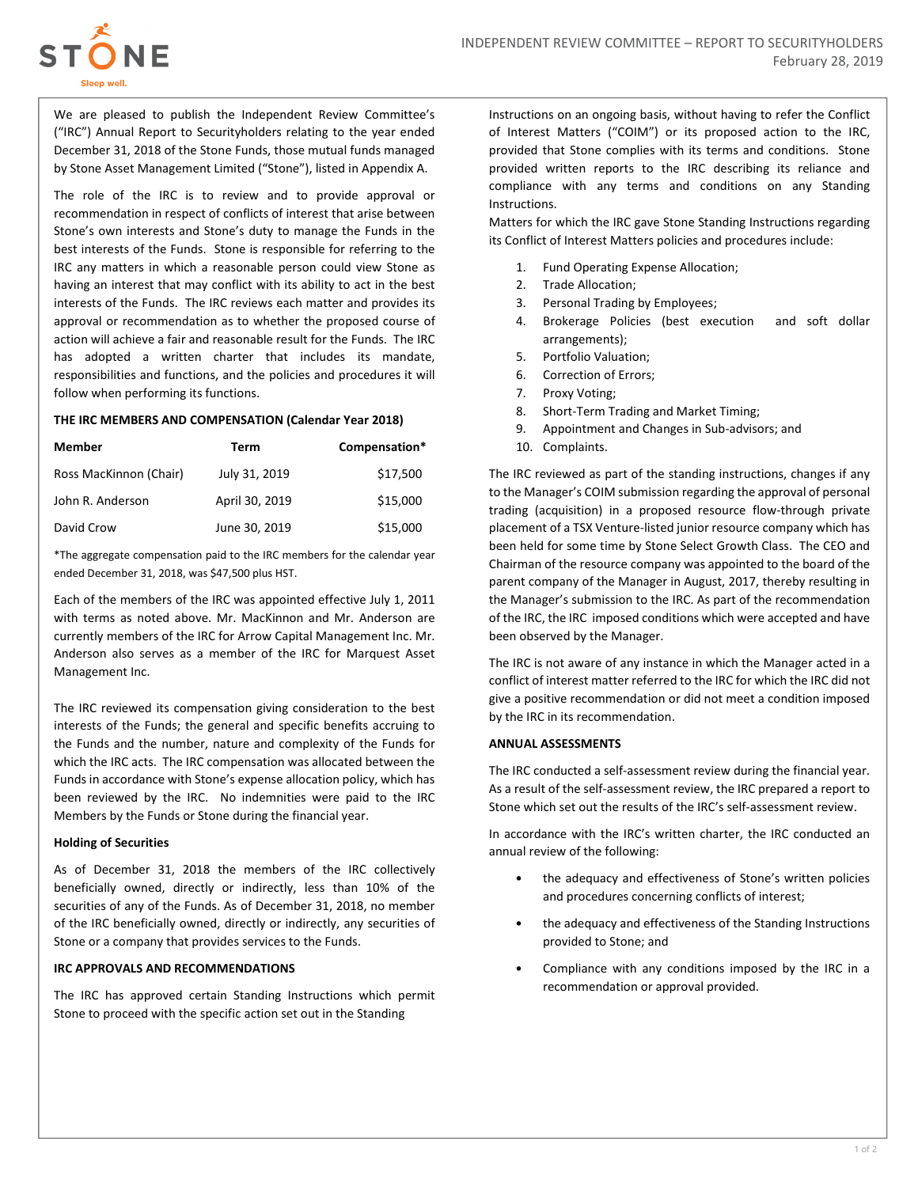

We are pleased to publish the Independent Review Committee's ("IRC") Annual Report to Securityholders relating to the year ended December 31, 2018 of the Stone Funds, those mutual funds managed by Stone Asset Management Limited ("Stone"), listed in Appendix A.

The role of the IRC is to review and to provide approval or recommendation in respect of conflicts of interest that arise between Stone's own interests and Stone's duty to manage the Funds in the best interests of the Funds. Stone is responsible for referring to the IRC any matters in which a reasonable person could view Stone as having an interest that may conflict with its ability to act in the best interests of the Funds. The IRC reviews each matter and provides its approval or recommendation as to whether the proposed course of action will achieve a fair and reasonable result for the Funds. The IRC has adopted a written charter that includes its mandate, responsibilities and functions, and the policies and procedures it will follow when performing its functions.

## THE IRC MEMBERS AND COMPENSATION (Calendar Year 2018)

| <b>Member</b>          | Term           | Compensation* |
|------------------------|----------------|---------------|
| Ross MacKinnon (Chair) | July 31, 2019  | \$17,500      |
| John R. Anderson       | April 30, 2019 | \$15,000      |
| David Crow             | June 30, 2019  | \$15,000      |

\*The aggregate compensation paid to the IRC members for the calendar year ended December 31, 2018, was \$47,500 plus HST.

Each of the members of the IRC was appointed effective July 1, 2011 with terms as noted above. Mr. MacKinnon and Mr. Anderson are currently members of the IRC for Arrow Capital Management Inc. Mr. Anderson also serves as a member of the IRC for Marquest Asset Management Inc.

The IRC reviewed its compensation giving consideration to the best interests of the Funds; the general and specific benefits accruing to the Funds and the number, nature and complexity of the Funds for which the IRC acts. The IRC compensation was allocated between the Funds in accordance with Stone's expense allocation policy, which has been reviewed by the IRC. No indemnities were paid to the IRC Members by the Funds or Stone during the financial year.

## Holding of Securities

As of December 31, 2018 the members of the IRC collectively beneficially owned, directly or indirectly, less than 10% of the securities of any of the Funds. As of December 31, 2018, no member of the IRC beneficially owned, directly or indirectly, any securities of Stone or a company that provides services to the Funds.

## IRC APPROVALS AND RECOMMENDATIONS

The IRC has approved certain Standing Instructions which permit Stone to proceed with the specific action set out in the Standing

Instructions on an ongoing basis, without having to refer the Conflict of Interest Matters ("COIM") or its proposed action to the IRC, provided that Stone complies with its terms and conditions. Stone provided written reports to the IRC describing its reliance and compliance with any terms and conditions on any Standing Instructions.

Matters for which the IRC gave Stone Standing Instructions regarding its Conflict of Interest Matters policies and procedures include:

- 1. Fund Operating Expense Allocation;
- 2. Trade Allocation;
- 3. Personal Trading by Employees;
- 4. Brokerage Policies (best execution and soft dollar arrangements);
- 5. Portfolio Valuation;
- 6. Correction of Errors;
- 7. Proxy Voting;
- 8. Short-Term Trading and Market Timing;
- 9. Appointment and Changes in Sub-advisors; and
- 10. Complaints.

The IRC reviewed as part of the standing instructions, changes if any to the Manager's COIM submission regarding the approval of personal trading (acquisition) in a proposed resource flow-through private placement of a TSX Venture-listed junior resource company which has been held for some time by Stone Select Growth Class. The CEO and Chairman of the resource company was appointed to the board of the parent company of the Manager in August, 2017, thereby resulting in the Manager's submission to the IRC. As part of the recommendation of the IRC, the IRC imposed conditions which were accepted and have been observed by the Manager.

The IRC is not aware of any instance in which the Manager acted in a conflict of interest matter referred to the IRC for which the IRC did not give a positive recommendation or did not meet a condition imposed by the IRC in its recommendation.

## ANNUAL ASSESSMENTS

The IRC conducted a self-assessment review during the financial year. As a result of the self-assessment review, the IRC prepared a report to Stone which set out the results of the IRC's self-assessment review.

In accordance with the IRC's written charter, the IRC conducted an annual review of the following:

- the adequacy and effectiveness of Stone's written policies and procedures concerning conflicts of interest;
- the adequacy and effectiveness of the Standing Instructions provided to Stone; and
- Compliance with any conditions imposed by the IRC in a recommendation or approval provided.